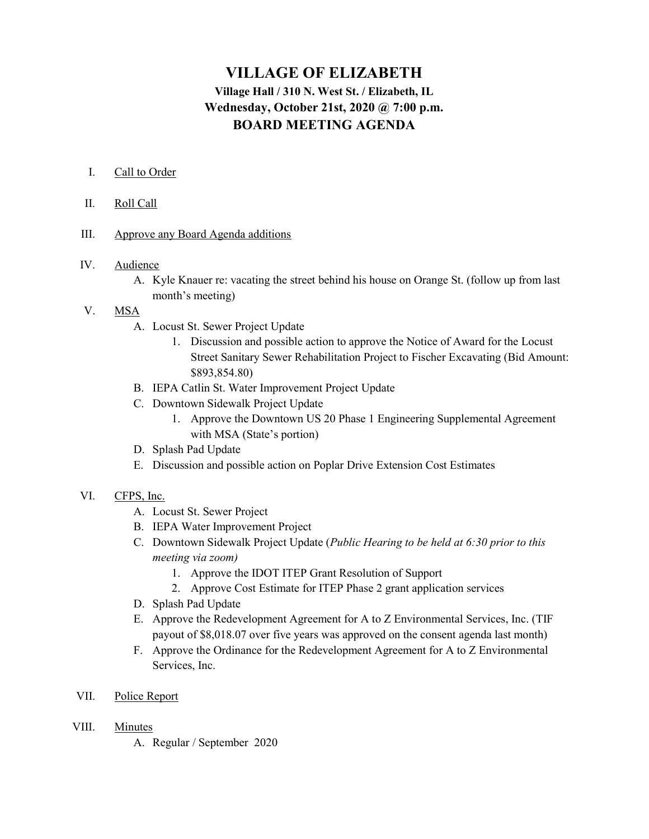# VILLAGE OF ELIZABETH Village Hall / 310 N. West St. / Elizabeth, IL Wednesday, October 21st, 2020 @ 7:00 p.m. BOARD MEETING AGENDA

## I. Call to Order

#### II. Roll Call

## III. Approve any Board Agenda additions

## IV. Audience

A. Kyle Knauer re: vacating the street behind his house on Orange St. (follow up from last month's meeting)

# V. MSA

- A. Locust St. Sewer Project Update
	- 1. Discussion and possible action to approve the Notice of Award for the Locust Street Sanitary Sewer Rehabilitation Project to Fischer Excavating (Bid Amount: \$893,854.80)
- B. IEPA Catlin St. Water Improvement Project Update
- C. Downtown Sidewalk Project Update
	- 1. Approve the Downtown US 20 Phase 1 Engineering Supplemental Agreement with MSA (State's portion)
- D. Splash Pad Update
- E. Discussion and possible action on Poplar Drive Extension Cost Estimates

#### VI. CFPS, Inc.

- A. Locust St. Sewer Project
- B. IEPA Water Improvement Project
- C. Downtown Sidewalk Project Update (Public Hearing to be held at 6:30 prior to this meeting via zoom)
	- 1. Approve the IDOT ITEP Grant Resolution of Support
	- 2. Approve Cost Estimate for ITEP Phase 2 grant application services
- D. Splash Pad Update
- E. Approve the Redevelopment Agreement for A to Z Environmental Services, Inc. (TIF payout of \$8,018.07 over five years was approved on the consent agenda last month)
- F. Approve the Ordinance for the Redevelopment Agreement for A to Z Environmental Services, Inc.
- VII. Police Report
- VIII. Minutes
	- A. Regular / September 2020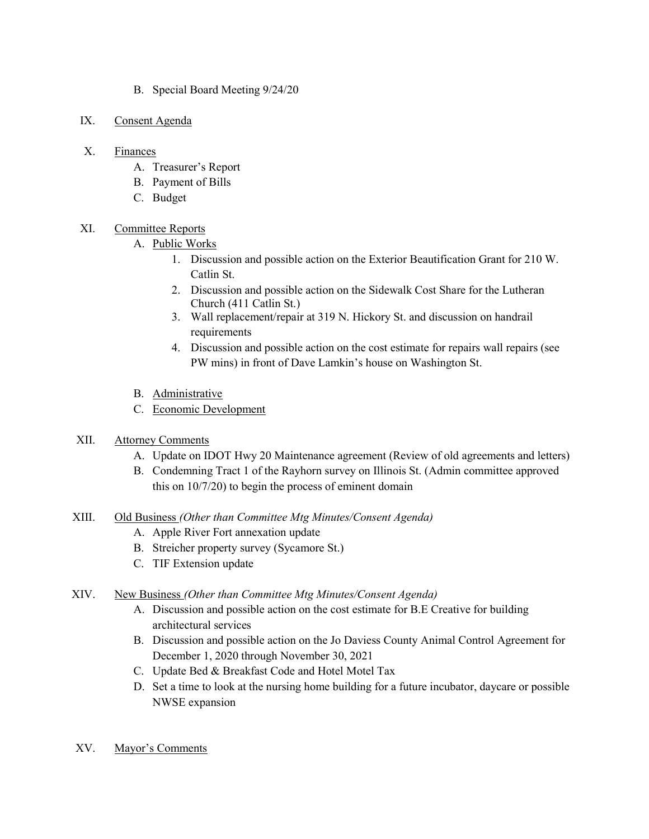- B. Special Board Meeting 9/24/20
- IX. Consent Agenda

## X. Finances

- A. Treasurer's Report
- B. Payment of Bills
- C. Budget

# XI. Committee Reports

- A. Public Works
	- 1. Discussion and possible action on the Exterior Beautification Grant for 210 W. Catlin St.
	- 2. Discussion and possible action on the Sidewalk Cost Share for the Lutheran Church (411 Catlin St.)
	- 3. Wall replacement/repair at 319 N. Hickory St. and discussion on handrail requirements
	- 4. Discussion and possible action on the cost estimate for repairs wall repairs (see PW mins) in front of Dave Lamkin's house on Washington St.
- B. Administrative
- C. Economic Development
- XII. Attorney Comments
	- A. Update on IDOT Hwy 20 Maintenance agreement (Review of old agreements and letters)
	- B. Condemning Tract 1 of the Rayhorn survey on Illinois St. (Admin committee approved this on 10/7/20) to begin the process of eminent domain
- XIII. Old Business (Other than Committee Mtg Minutes/Consent Agenda)
	- A. Apple River Fort annexation update
	- B. Streicher property survey (Sycamore St.)
	- C. TIF Extension update

# XIV. New Business (Other than Committee Mtg Minutes/Consent Agenda)

- A. Discussion and possible action on the cost estimate for B.E Creative for building architectural services
- B. Discussion and possible action on the Jo Daviess County Animal Control Agreement for December 1, 2020 through November 30, 2021
- C. Update Bed & Breakfast Code and Hotel Motel Tax
- D. Set a time to look at the nursing home building for a future incubator, daycare or possible NWSE expansion
- XV. Mayor's Comments